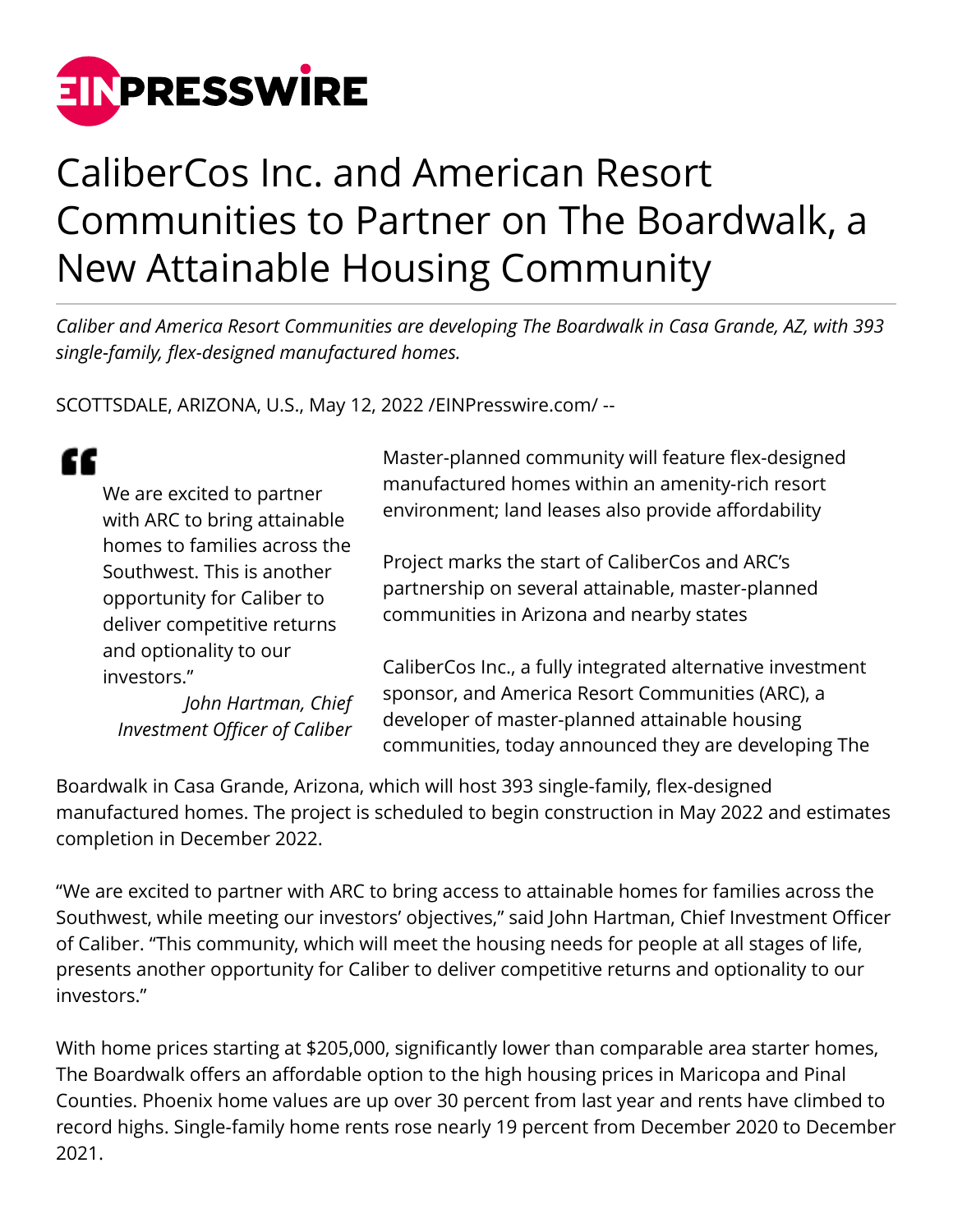

## CaliberCos Inc. and American Resort Communities to Partner on The Boardwalk, a New Attainable Housing Community

*Caliber and America Resort Communities are developing The Boardwalk in Casa Grande, AZ, with 393 single-family, flex-designed manufactured homes.*

SCOTTSDALE, ARIZONA, U.S., May 12, 2022 /[EINPresswire.com](http://www.einpresswire.com)/ --

|  | We are excited to partner<br>with ARC to bring attainable                                                               | Master-planned community will feature flex-designed<br>manufactured homes within an amenity-rich resort<br>environment; land leases also provide affordability                                                           |
|--|-------------------------------------------------------------------------------------------------------------------------|--------------------------------------------------------------------------------------------------------------------------------------------------------------------------------------------------------------------------|
|  | homes to families across the<br>Southwest. This is another<br>opportunity for Caliber to<br>deliver competitive returns | Project marks the start of CaliberCos and ARC's<br>partnership on several attainable, master-planned<br>communities in Arizona and nearby states                                                                         |
|  | and optionality to our<br>investors."<br>John Hartman, Chief<br><b>Investment Officer of Caliber</b>                    | CaliberCos Inc., a fully integrated alternative investment<br>sponsor, and America Resort Communities (ARC), a<br>developer of master-planned attainable housing<br>communities, today announced they are developing The |

Boardwalk in Casa Grande, Arizona, which will host 393 single-family, flex-designed manufactured homes. The project is scheduled to begin construction in May 2022 and estimates completion in December 2022.

"We are excited to partner with ARC to bring access to attainable homes for families across the Southwest, while meeting our investors' objectives," said John Hartman, Chief Investment Officer of Caliber. "This community, which will meet the housing needs for people at all stages of life, presents another opportunity for Caliber to deliver competitive returns and optionality to our investors."

With home prices starting at \$205,000, significantly lower than comparable area starter homes, The Boardwalk offers an affordable option to the high housing prices in Maricopa and Pinal Counties. Phoenix home values are up over 30 percent from last year and rents have climbed to record highs. Single-family home rents rose nearly 19 percent from December 2020 to December 2021.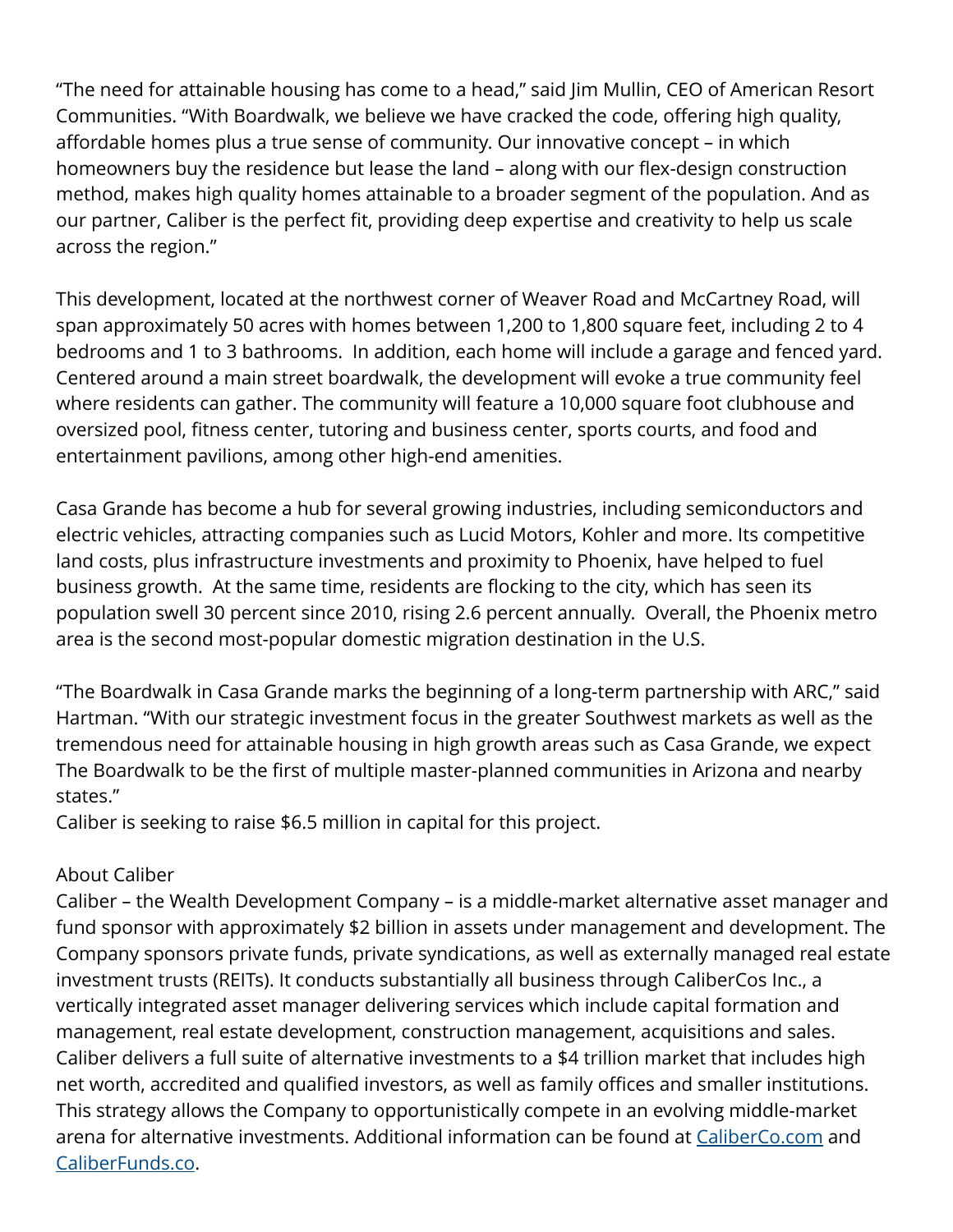"The need for attainable housing has come to a head," said Jim Mullin, CEO of American Resort Communities. "With Boardwalk, we believe we have cracked the code, offering high quality, affordable homes plus a true sense of community. Our innovative concept – in which homeowners buy the residence but lease the land – along with our flex-design construction method, makes high quality homes attainable to a broader segment of the population. And as our partner, Caliber is the perfect fit, providing deep expertise and creativity to help us scale across the region."

This development, located at the northwest corner of Weaver Road and McCartney Road, will span approximately 50 acres with homes between 1,200 to 1,800 square feet, including 2 to 4 bedrooms and 1 to 3 bathrooms. In addition, each home will include a garage and fenced yard. Centered around a main street boardwalk, the development will evoke a true community feel where residents can gather. The community will feature a 10,000 square foot clubhouse and oversized pool, fitness center, tutoring and business center, sports courts, and food and entertainment pavilions, among other high-end amenities.

Casa Grande has become a hub for several growing industries, including semiconductors and electric vehicles, attracting companies such as Lucid Motors, Kohler and more. Its competitive land costs, plus infrastructure investments and proximity to Phoenix, have helped to fuel business growth. At the same time, residents are flocking to the city, which has seen its population swell 30 percent since 2010, rising 2.6 percent annually. Overall, the Phoenix metro area is the second most-popular domestic migration destination in the U.S.

"The Boardwalk in Casa Grande marks the beginning of a long-term partnership with ARC," said Hartman. "With our strategic investment focus in the greater Southwest markets as well as the tremendous need for attainable housing in high growth areas such as Casa Grande, we expect The Boardwalk to be the first of multiple master-planned communities in Arizona and nearby states."

Caliber is seeking to raise \$6.5 million in capital for this project.

## About Caliber

Caliber – the Wealth Development Company – is a middle-market alternative asset manager and fund sponsor with approximately \$2 billion in assets under management and development. The Company sponsors private funds, private syndications, as well as externally managed real estate investment trusts (REITs). It conducts substantially all business through CaliberCos Inc., a vertically integrated asset manager delivering services which include capital formation and management, real estate development, construction management, acquisitions and sales. Caliber delivers a full suite of alternative investments to a \$4 trillion market that includes high net worth, accredited and qualified investors, as well as family offices and smaller institutions. This strategy allows the Company to opportunistically compete in an evolving middle-market arena for alternative investments. Additional information can be found at [CaliberCo.com](http://www.caliberco.com) and [CaliberFunds.co](http://caliberfunds.co/?__hstc=120778711.a3ba9401ee6a77ce363289ab4f459dce.1643742958845.1647621684737.1648225217260.10&__hssc=120778711.7.1648225217260&__hsfp=2695822164).